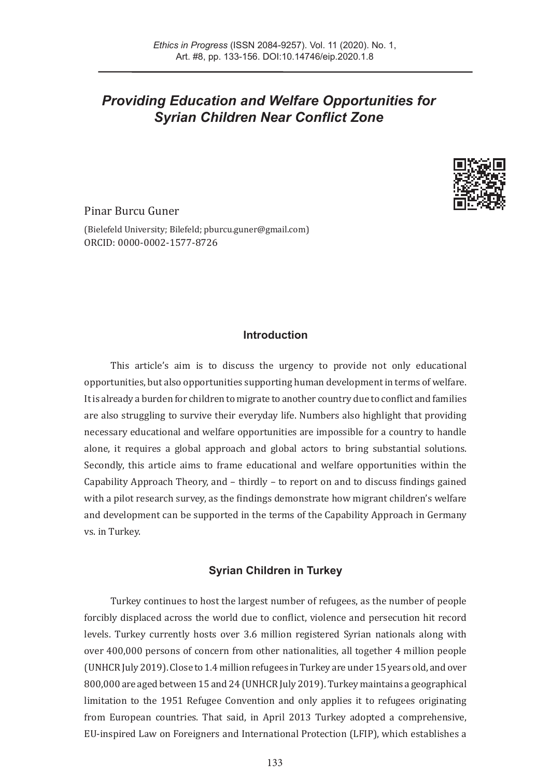# *Providing Education and Welfare Opportunities for Syrian Children Near Conflict Zone*



Pinar Burcu Guner

(Bielefeld University; Bilefeld; [pburcu.guner@gmail.com](mailto:pburcu.guner%40gmail.com?subject=)) ORCID: [0000-0002-1577-8726](https://orcid.org/0000-0002-1577-8726)

### **Introduction**

This article's aim is to discuss the urgency to provide not only educational opportunities, but also opportunities supporting human development in terms of welfare. It is already a burden for children to migrate to another country due to conflict and families are also struggling to survive their everyday life. Numbers also highlight that providing necessary educational and welfare opportunities are impossible for a country to handle alone, it requires a global approach and global actors to bring substantial solutions. Secondly, this article aims to frame educational and welfare opportunities within the Capability Approach Theory, and – thirdly – to report on and to discuss findings gained with a pilot research survey, as the findings demonstrate how migrant children's welfare and development can be supported in the terms of the Capability Approach in Germany vs. in Turkey.

### **Syrian Children in Turkey**

Turkey continues to host the largest number of refugees, as the number of people forcibly displaced across the world due to conflict, violence and persecution hit record levels. Turkey currently hosts over 3.6 million registered Syrian nationals along with over 400,000 persons of concern from other nationalities, all together 4 million people (UNHCR July 2019). Close to 1.4 million refugees in Turkey are under 15 years old, and over 800,000 are aged between 15 and 24 (UNHCR July 2019). Turkey maintains a geographical limitation to the 1951 Refugee Convention and only applies it to refugees originating from European countries. That said, in April 2013 Turkey adopted a comprehensive, EU-inspired Law on Foreigners and International Protection (LFIP), which establishes a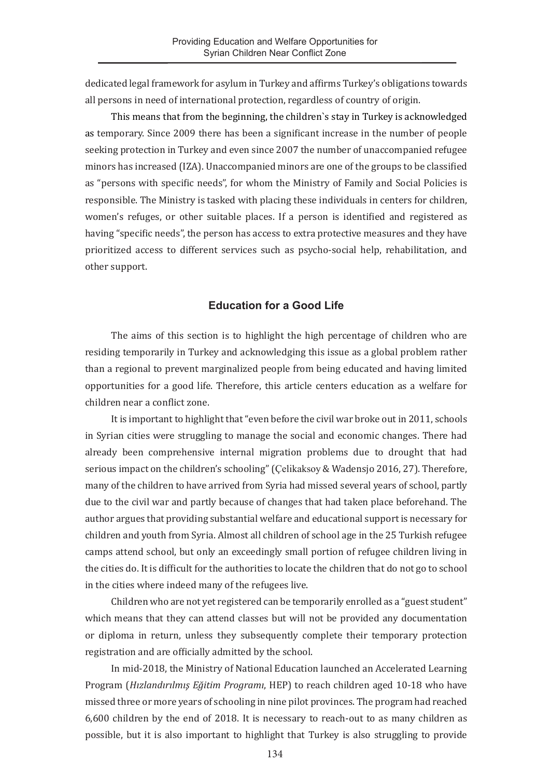dedicated legal framework for asylum in Turkey and affirms Turkey's obligations towards all persons in need of international protection, regardless of country of origin.

This means that from the beginning, the children`s stay in Turkey is acknowledged as temporary. Since 2009 there has been a significant increase in the number of people seeking protection in Turkey and even since 2007 the number of unaccompanied refugee minors has increased (IZA). Unaccompanied minors are one of the groups to be classified as "persons with specific needs", for whom the Ministry of Family and Social Policies is responsible. The Ministry is tasked with placing these individuals in centers for children, women's refuges, or other suitable places. If a person is identified and registered as having "specific needs", the person has access to extra protective measures and they have prioritized access to different services such as psycho-social help, rehabilitation, and other support.

### **Education for a Good Life**

The aims of this section is to highlight the high percentage of children who are residing temporarily in Turkey and acknowledging this issue as a global problem rather than a regional to prevent marginalized people from being educated and having limited opportunities for a good life. Therefore, this article centers education as a welfare for children near a conflict zone.

It is important to highlight that "even before the civil war broke out in 2011, schools in Syrian cities were struggling to manage the social and economic changes. There had already been comprehensive internal migration problems due to drought that had serious impact on the children's schooling" (Çelikaksoy & Wadensjo 2016, 27). Therefore, many of the children to have arrived from Syria had missed several years of school, partly due to the civil war and partly because of changes that had taken place beforehand. The author argues that providing substantial welfare and educational support is necessary for children and youth from Syria. Almost all children of school age in the 25 Turkish refugee camps attend school, but only an exceedingly small portion of refugee children living in the cities do. It is difficult for the authorities to locate the children that do not go to school in the cities where indeed many of the refugees live.

Children who are not yet registered can be temporarily enrolled as a "guest student" which means that they can attend classes but will not be provided any documentation or diploma in return, unless they subsequently complete their temporary protection registration and are officially admitted by the school.

In mid-2018, the Ministry of National Education launched an Accelerated Learning Program (*Hızlandırılmış Eğitim Programı*, HEP) to reach children aged 10-18 who have missed three or more years of schooling in nine pilot provinces. The program had reached 6,600 children by the end of 2018. It is necessary to reach-out to as many children as possible, but it is also important to highlight that Turkey is also struggling to provide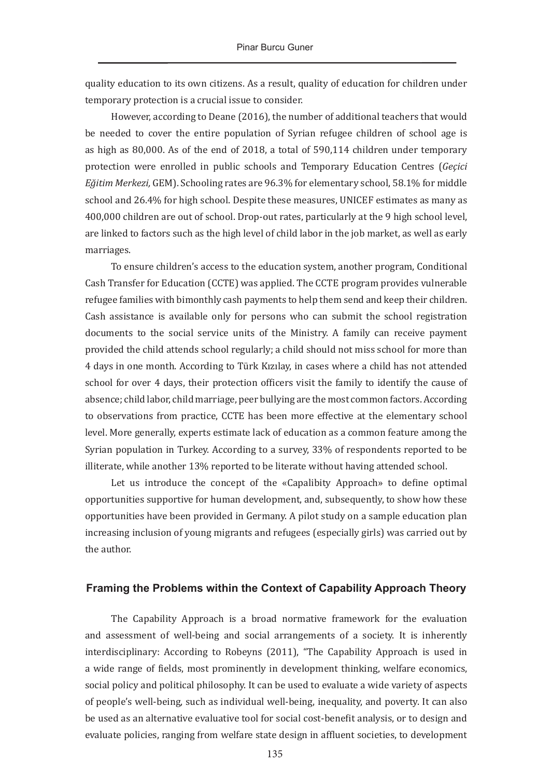quality education to its own citizens. As a result, quality of education for children under temporary protection is a crucial issue to consider.

However, according to Deane (2016), the number of additional teachers that would be needed to cover the entire population of Syrian refugee children of school age is as high as 80,000. As of the end of 2018, a total of 590,114 children under temporary protection were enrolled in public schools and Temporary Education Centres (*Geçici Eğitim Merkezi,* GEM). Schooling rates are 96.3% for elementary school, 58.1% for middle school and 26.4% for high school. Despite these measures, UNICEF estimates as many as 400,000 children are out of school. Drop-out rates, particularly at the 9 high school level, are linked to factors such as the high level of child labor in the job market, as well as early marriages.

To ensure children's access to the education system, another program, Conditional Cash Transfer for Education (CCTE) was applied. The CCTE program provides vulnerable refugee families with bimonthly cash payments to help them send and keep their children. Cash assistance is available only for persons who can submit the school registration documents to the social service units of the Ministry. A family can receive payment provided the child attends school regularly; a child should not miss school for more than 4 days in one month. According to Türk Kızılay, in cases where a child has not attended school for over 4 days, their protection officers visit the family to identify the cause of absence; child labor, child marriage, peer bullying are the most common factors.According to observations from practice, CCTE has been more effective at the elementary school level. More generally, experts estimate lack of education as a common feature among the Syrian population in Turkey. According to a survey, 33% of respondents reported to be illiterate, while another 13% reported to be literate without having attended school.

Let us introduce the concept of the «Capalibity Approach» to define optimal opportunities supportive for human development, and, subsequently, to show how these opportunities have been provided in Germany. A pilot study on a sample education plan increasing inclusion of young migrants and refugees (especially girls) was carried out by the author.

### **Framing the Problems within the Context of Capability Approach Theory**

The Capability Approach is a broad normative framework for the evaluation and assessment of well-being and social arrangements of a society. It is inherently interdisciplinary: According to Robeyns (2011), "The Capability Approach is used in a wide range of fields, most prominently in development thinking, welfare economics, social policy and political philosophy. It can be used to evaluate a wide variety of aspects of people's well-being, such as individual well-being, inequality, and poverty. It can also be used as an alternative evaluative tool for social cost-benefit analysis, or to design and evaluate policies, ranging from welfare state design in affluent societies, to development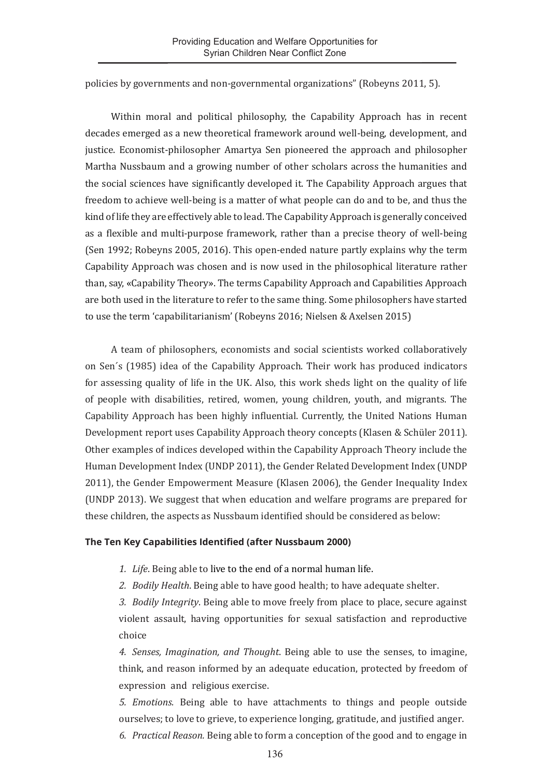policies by governments and non-governmental organizations" (Robeyns 2011, 5).

Within moral and political philosophy, the Capability Approach has in recent decades emerged as a new theoretical framework around well-being, development, and justice. Economist-philosopher Amartya Sen pioneered the approach and philosopher Martha Nussbaum and a growing number of other scholars across the humanities and the social sciences have significantly developed it. The Capability Approach argues that freedom to achieve well-being is a matter of what people can do and to be, and thus the kind of life they are effectively able to lead. The Capability Approach is generally conceived as a flexible and multi-purpose framework, rather than a precise theory of well-being (Sen 1992; Robeyns 2005, 2016). This open-ended nature partly explains why the term Capability Approach was chosen and is now used in the philosophical literature rather than, say, «Capability Theory». The terms Capability Approach and Capabilities Approach are both used in the literature to refer to the same thing. Some philosophers have started to use the term 'capabilitarianism' (Robeyns 2016; Nielsen & Axelsen 2015)

A team of philosophers, economists and social scientists worked collaboratively on Sen´s (1985) idea of the Capability Approach. Their work has produced indicators for assessing quality of life in the UK. Also, this work sheds light on the quality of life of people with disabilities, retired, women, young children, youth, and migrants. The Capability Approach has been highly influential. Currently, the United Nations Human Development report uses Capability Approach theory concepts (Klasen & Schüler 2011). Other examples of indices developed within the Capability Approach Theory include the Human Development Index (UNDP 2011), the Gender Related Development Index (UNDP 2011), the Gender Empowerment Measure (Klasen 2006), the Gender Inequality Index (UNDP 2013). We suggest that when education and welfare programs are prepared for these children, the aspects as Nussbaum identified should be considered as below:

#### **The Ten Key Capabilities Identified (after Nussbaum 2000)**

- *1. Life*. Being able to live to the end of a normal human life.
- *2. Bodily Health*. Being able to have good [health;](https://en.wikipedia.org/wiki/Health) to have adequate [shelter](https://en.wikipedia.org/wiki/Shelter_(building)).

*3. Bodily Integrity*. Being able to move freely from place to place, secure against violent [assault,](https://en.wikipedia.org/wiki/Assault) having opportunities for [sexual satisfaction](https://en.wikipedia.org/wiki/Sexual_satisfaction) and reproductive choice

*4. Senses, Imagination, and Thought*. Being able to use the senses, to imagine, think, and reason informed by an adequate [education](https://en.wikipedia.org/wiki/Education), protected by [freedom of](https://en.wikipedia.org/wiki/Freedom_of_expression)  [expression](https://en.wikipedia.org/wiki/Freedom_of_expression) and [religious exercise](https://en.wikipedia.org/wiki/Freedom_of_religion).

*5. Emotions.* Being able to have attachments to things and people outside ourselves; to love to [grieve,](https://en.wikipedia.org/wiki/Grief) to experience longing, [gratitude,](https://en.wikipedia.org/wiki/Gratitude) and justified [anger](https://en.wikipedia.org/wiki/Anger).

*6. Practical Reason.* Being able to form a conception of the [good](https://en.wikipedia.org/wiki/Good_and_evil) and to engage in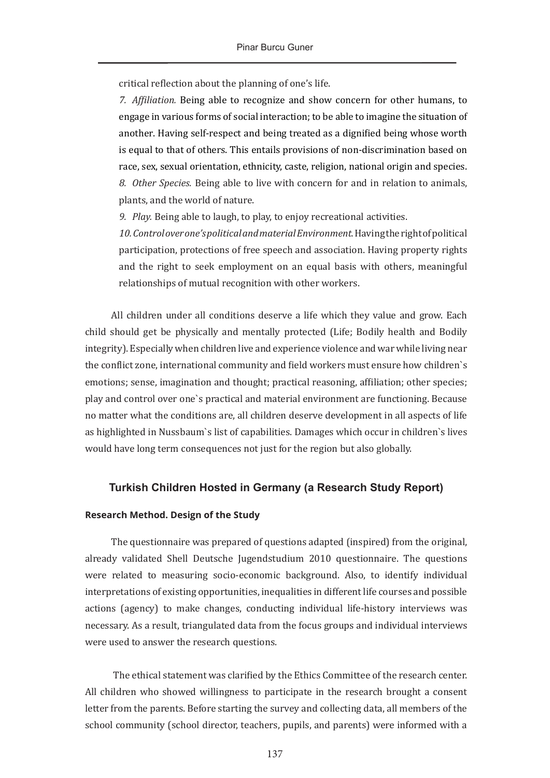critical reflection about the [planning of one's life.](https://en.wikipedia.org/wiki/Life_plan)

*7. Affiliation.* Being able to recognize and show concern for other humans, to engage in various forms of [social interaction](https://en.wikipedia.org/wiki/Social_interaction); to be [able to imagine the situation of](https://en.wikipedia.org/wiki/Empathy)  [another](https://en.wikipedia.org/wiki/Empathy). Having [self-respect](https://en.wikipedia.org/wiki/Self-respect) and being treated as a dignified being whose worth is equal to that of others. This entails provisions of non-discrimination based on race, sex, sexual orientation, ethnicity, caste, religion, national origin and species. *8. Other Species.* Being able to live with concern for and in relation to animals, plants, and the world of nature.

*9. Play.* Being able to [laugh,](https://en.wikipedia.org/wiki/Laugh) to play, to enjoy [recreational](https://en.wikipedia.org/wiki/Recreation) activities.

*10. Control over one's political and material[Environment](https://en.wikipedia.org/wiki/Biophysical_environment).* Having the right of[political](https://en.wikipedia.org/wiki/Political_participation)  [participation,](https://en.wikipedia.org/wiki/Political_participation) protections of free speech and association. Having property rights and the right to seek employment on an equal basis with others, meaningful relationships of mutual recognition with other workers.

All children under all conditions deserve a life which they value and grow. Each child should get be physically and mentally protected (Life; Bodily health and Bodily integrity). Especially when children live and experience violence and war while living near the conflict zone, international community and field workers must ensure how children`s emotions; sense, imagination and thought; practical reasoning, affiliation; other species; play and control over one`s practical and material environment are functioning. Because no matter what the conditions are, all children deserve development in all aspects of life as highlighted in Nussbaum`s list of capabilities. Damages which occur in children`s lives would have long term consequences not just for the region but also globally.

### **Turkish Children Hosted in Germany (a Research Study Report)**

#### **Research Method. Design of the Study**

The questionnaire was prepared of questions adapted (inspired) from the original, already validated Shell Deutsche Jugendstudium 2010 questionnaire. The questions were related to measuring socio-economic background. Also, to identify individual interpretations of existing opportunities, inequalities in different life courses and possible actions (agency) to make changes, conducting individual life-history interviews was necessary. As a result, triangulated data from the focus groups and individual interviews were used to answer the research questions.

 The ethical statement was clarified by the Ethics Committee of the research center. All children who showed willingness to participate in the research brought a consent letter from the parents. Before starting the survey and collecting data, all members of the school community (school director, teachers, pupils, and parents) were informed with a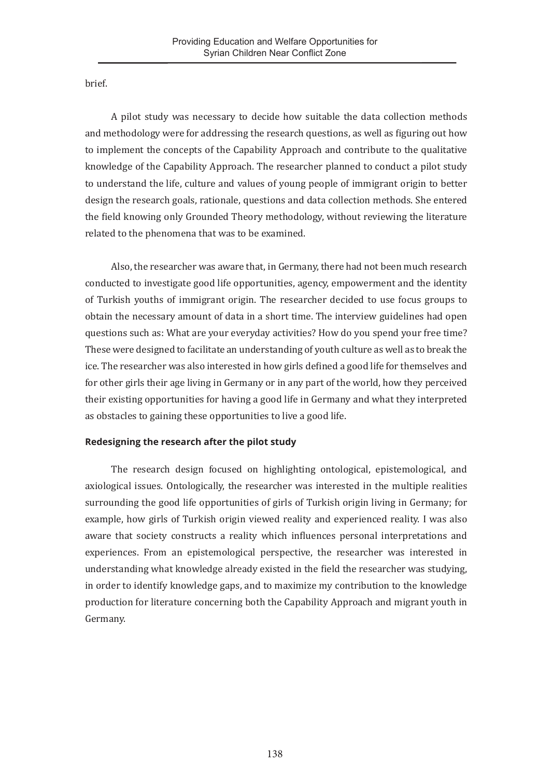brief.

A pilot study was necessary to decide how suitable the data collection methods and methodology were for addressing the research questions, as well as figuring out how to implement the concepts of the Capability Approach and contribute to the qualitative knowledge of the Capability Approach. The researcher planned to conduct a pilot study to understand the life, culture and values of young people of immigrant origin to better design the research goals, rationale, questions and data collection methods. She entered the field knowing only Grounded Theory methodology, without reviewing the literature related to the phenomena that was to be examined.

Also, the researcher was aware that, in Germany, there had not been much research conducted to investigate good life opportunities, agency, empowerment and the identity of Turkish youths of immigrant origin. The researcher decided to use focus groups to obtain the necessary amount of data in a short time. The interview guidelines had open questions such as: What are your everyday activities? How do you spend your free time? These were designed to facilitate an understanding of youth culture as well as to break the ice. The researcher was also interested in how girls defined a good life for themselves and for other girls their age living in Germany or in any part of the world, how they perceived their existing opportunities for having a good life in Germany and what they interpreted as obstacles to gaining these opportunities to live a good life.

### **Redesigning the research after the pilot study**

The research design focused on highlighting ontological, epistemological, and axiological issues. Ontologically, the researcher was interested in the multiple realities surrounding the good life opportunities of girls of Turkish origin living in Germany; for example, how girls of Turkish origin viewed reality and experienced reality. I was also aware that society constructs a reality which influences personal interpretations and experiences. From an epistemological perspective, the researcher was interested in understanding what knowledge already existed in the field the researcher was studying, in order to identify knowledge gaps, and to maximize my contribution to the knowledge production for literature concerning both the Capability Approach and migrant youth in Germany.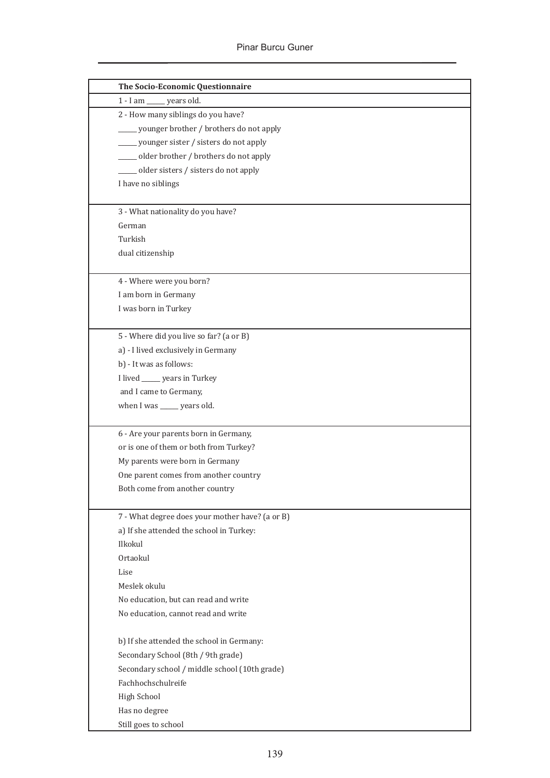|      | The Socio-Economic Questionnaire                                           |
|------|----------------------------------------------------------------------------|
|      | 1 - I am _____ years old.                                                  |
|      | 2 - How many siblings do you have?                                         |
|      | __ younger brother / brothers do not apply                                 |
|      | ____ younger sister / sisters do not apply                                 |
|      | older brother / brothers do not apply                                      |
|      | ____ older sisters / sisters do not apply                                  |
|      | I have no siblings                                                         |
|      |                                                                            |
|      | 3 - What nationality do you have?                                          |
|      | German                                                                     |
|      | Turkish                                                                    |
|      | dual citizenship                                                           |
|      |                                                                            |
|      | 4 - Where were you born?                                                   |
|      | I am born in Germany                                                       |
|      | I was born in Turkey                                                       |
|      |                                                                            |
|      | 5 - Where did you live so far? (a or B)                                    |
|      | a) - I lived exclusively in Germany                                        |
|      | b) - It was as follows:                                                    |
|      | I lived _____ years in Turkey                                              |
|      | and I came to Germany,                                                     |
|      | when I was _____ years old.                                                |
|      |                                                                            |
|      | 6 - Are your parents born in Germany,                                      |
|      | or is one of them or both from Turkey?                                     |
|      | My parents were born in Germany                                            |
|      | One parent comes from another country                                      |
|      | Both come from another country                                             |
|      |                                                                            |
|      | 7 - What degree does your mother have? (a or B)                            |
|      | a) If she attended the school in Turkey:                                   |
|      | Ilkokul                                                                    |
|      | Ortaokul                                                                   |
| Lise |                                                                            |
|      | Meslek okulu                                                               |
|      | No education, but can read and write                                       |
|      | No education, cannot read and write                                        |
|      | b) If she attended the school in Germany:                                  |
|      | Secondary School (8th / 9th grade)                                         |
|      | Secondary school / middle school (10th grade)                              |
|      |                                                                            |
|      |                                                                            |
|      |                                                                            |
|      |                                                                            |
|      | Fachhochschulreife<br>High School<br>Has no degree<br>Still goes to school |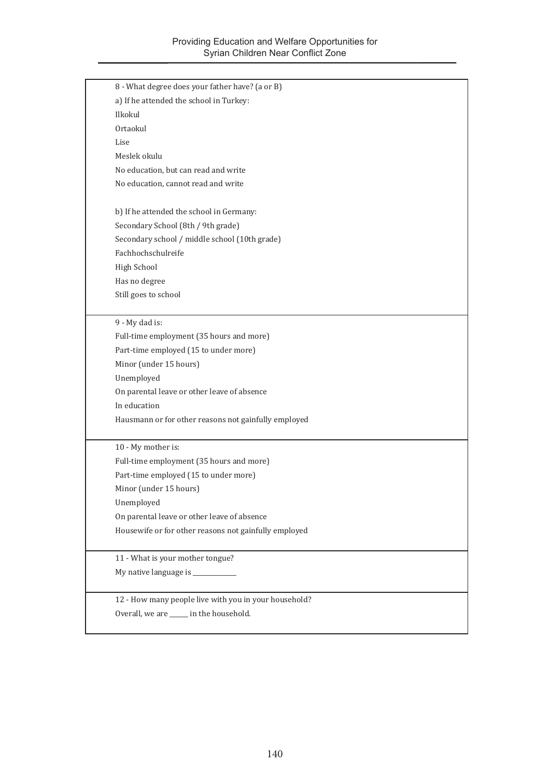| 8 - What degree does your father have? (a or B)       |
|-------------------------------------------------------|
| a) If he attended the school in Turkey:               |
| Ilkokul                                               |
| Ortaokul                                              |
| Lise                                                  |
| Meslek okulu                                          |
| No education, but can read and write                  |
| No education, cannot read and write                   |
|                                                       |
| b) If he attended the school in Germany:              |
| Secondary School (8th / 9th grade)                    |
| Secondary school / middle school (10th grade)         |
| Fachhochschulreife                                    |
| <b>High School</b>                                    |
| Has no degree                                         |
| Still goes to school                                  |
|                                                       |
| 9 - My dad is:                                        |
| Full-time employment (35 hours and more)              |
| Part-time employed (15 to under more)                 |
| Minor (under 15 hours)                                |
| Unemployed                                            |
| On parental leave or other leave of absence           |
| In education                                          |
| Hausmann or for other reasons not gainfully employed  |
|                                                       |
| 10 - My mother is:                                    |
| Full-time employment (35 hours and more)              |
| Part-time employed (15 to under more)                 |
| Minor (under 15 hours)                                |
| Unemployed                                            |
| On parental leave or other leave of absence           |
| Housewife or for other reasons not gainfully employed |
| 11 - What is your mother tongue?                      |
| My native language is ___________                     |
|                                                       |
| 12 - How many people live with you in your household? |
| Overall, we are _____ in the household.               |
|                                                       |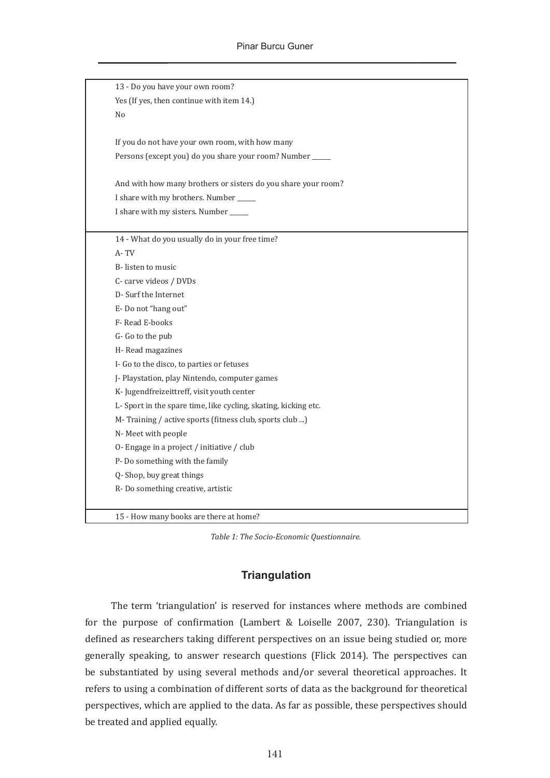| 13 - Do you have your own room?                                 |  |
|-----------------------------------------------------------------|--|
| Yes (If yes, then continue with item 14.)                       |  |
| No                                                              |  |
|                                                                 |  |
| If you do not have your own room, with how many                 |  |
| Persons (except you) do you share your room? Number _____       |  |
|                                                                 |  |
| And with how many brothers or sisters do you share your room?   |  |
| I share with my brothers. Number _____                          |  |
| I share with my sisters. Number _____                           |  |
|                                                                 |  |
| 14 - What do you usually do in your free time?                  |  |
| A-TV                                                            |  |
| B-listen to music                                               |  |
| C- carve videos / DVDs                                          |  |
| D- Surf the Internet                                            |  |
| E-Do not "hang out"                                             |  |
| F- Read E-books                                                 |  |
| G- Go to the pub                                                |  |
| H-Read magazines                                                |  |
| I- Go to the disco, to parties or fetuses                       |  |
| J- Playstation, play Nintendo, computer games                   |  |
| K-Jugendfreizeittreff, visit youth center                       |  |
| L- Sport in the spare time, like cycling, skating, kicking etc. |  |
| M-Training / active sports (fitness club, sports club )         |  |
| N-Meet with people                                              |  |
| 0- Engage in a project / initiative / club                      |  |
| P- Do something with the family                                 |  |
| Q-Shop, buy great things                                        |  |
| R- Do something creative, artistic                              |  |
|                                                                 |  |
| 15 - How many books are there at home?                          |  |

*Table 1: The Socio-Economic Questionnaire.*

### **Triangulation**

The term 'triangulation' is reserved for instances where methods are combined for the purpose of confirmation (Lambert & Loiselle 2007, 230). Triangulation is defined as researchers taking different perspectives on an issue being studied or, more generally speaking, to answer research questions (Flick 2014). The perspectives can be substantiated by using several methods and/or several theoretical approaches. It refers to using a combination of different sorts of data as the background for theoretical perspectives, which are applied to the data. As far as possible, these perspectives should be treated and applied equally.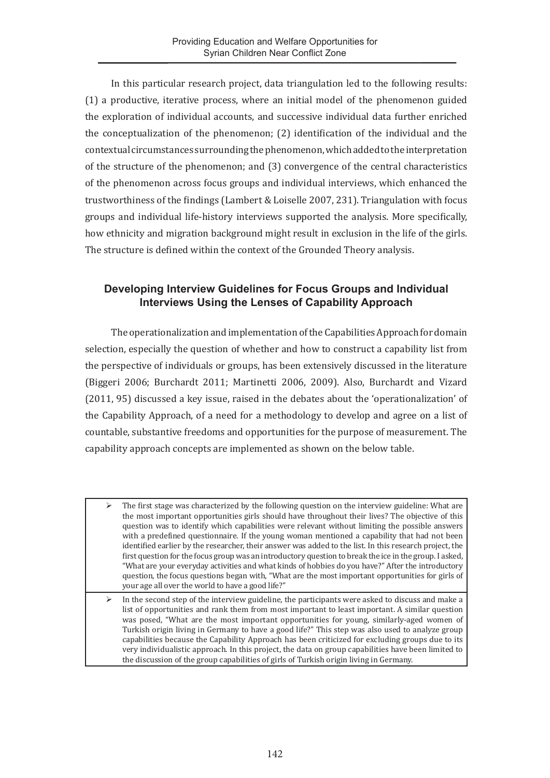In this particular research project, data triangulation led to the following results: (1) a productive, iterative process, where an initial model of the phenomenon guided the exploration of individual accounts, and successive individual data further enriched the conceptualization of the phenomenon; (2) identification of the individual and the contextual circumstances surrounding the phenomenon, which added to the interpretation of the structure of the phenomenon; and (3) convergence of the central characteristics of the phenomenon across focus groups and individual interviews, which enhanced the trustworthiness of the findings (Lambert & Loiselle 2007, 231). Triangulation with focus groups and individual life-history interviews supported the analysis. More specifically, how ethnicity and migration background might result in exclusion in the life of the girls. The structure is defined within the context of the Grounded Theory analysis.

# **Developing Interview Guidelines for Focus Groups and Individual Interviews Using the Lenses of Capability Approach**

The operationalization and implementation of the Capabilities Approach for domain selection, especially the question of whether and how to construct a capability list from the perspective of individuals or groups, has been extensively discussed in the literature (Biggeri 2006; Burchardt 2011; Martinetti 2006, 2009). Also, Burchardt and Vizard (2011, 95) discussed a key issue, raised in the debates about the 'operationalization' of the Capability Approach, of a need for a methodology to develop and agree on a list of countable, substantive freedoms and opportunities for the purpose of measurement. The capability approach concepts are implemented as shown on the below table.

The first stage was characterized by the following question on the interview guideline: What are the most important opportunities girls should have throughout their lives? The objective of this question was to identify which capabilities were relevant without limiting the possible answers with a predefined questionnaire. If the young woman mentioned a capability that had not been identified earlier by the researcher, their answer was added to the list. In this research project, the first question for the focus group was an introductory question to break the ice in the group. I asked, "What are your everyday activities and what kinds of hobbies do you have?" After the introductory question, the focus questions began with, "What are the most important opportunities for girls of your age all over the world to have a good life?"

In the second step of the interview guideline, the participants were asked to discuss and make a list of opportunities and rank them from most important to least important. A similar question was posed, "What are the most important opportunities for young, similarly-aged women of Turkish origin living in Germany to have a good life?" This step was also used to analyze group capabilities because the Capability Approach has been criticized for excluding groups due to its very individualistic approach. In this project, the data on group capabilities have been limited to the discussion of the group capabilities of girls of Turkish origin living in Germany.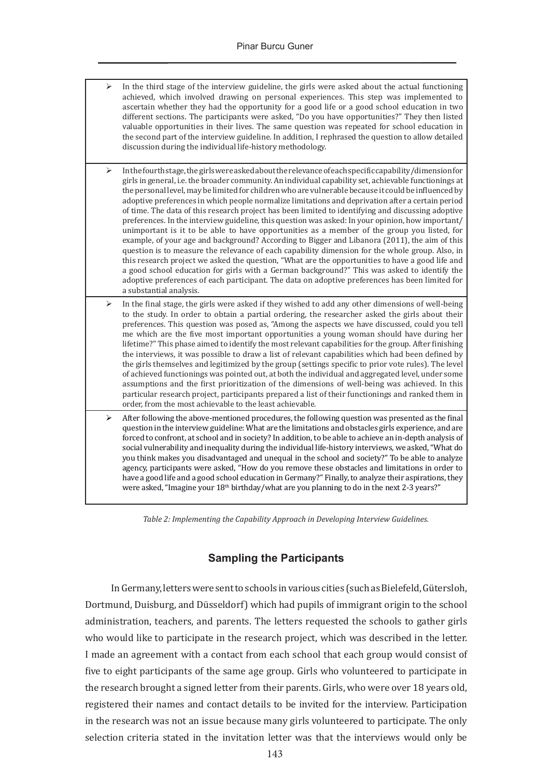| ➤                     | In the third stage of the interview guideline, the girls were asked about the actual functioning<br>achieved, which involved drawing on personal experiences. This step was implemented to<br>ascertain whether they had the opportunity for a good life or a good school education in two<br>different sections. The participants were asked, "Do you have opportunities?" They then listed<br>valuable opportunities in their lives. The same question was repeated for school education in<br>the second part of the interview guideline. In addition, I rephrased the question to allow detailed<br>discussion during the individual life-history methodology.                                                                                                                                                                                                                                                                                                                                                                                                                                                                                                                                                                                                            |
|-----------------------|-------------------------------------------------------------------------------------------------------------------------------------------------------------------------------------------------------------------------------------------------------------------------------------------------------------------------------------------------------------------------------------------------------------------------------------------------------------------------------------------------------------------------------------------------------------------------------------------------------------------------------------------------------------------------------------------------------------------------------------------------------------------------------------------------------------------------------------------------------------------------------------------------------------------------------------------------------------------------------------------------------------------------------------------------------------------------------------------------------------------------------------------------------------------------------------------------------------------------------------------------------------------------------|
| $\blacktriangleright$ | In the fourth stage, the girls were asked about the relevance of each specific capability/dimension for<br>girls in general, i.e. the broader community. An individual capability set, achievable functionings at<br>the personal level, may be limited for children who are vulnerable because it could be influenced by<br>adoptive preferences in which people normalize limitations and deprivation after a certain period<br>of time. The data of this research project has been limited to identifying and discussing adoptive<br>preferences. In the interview guideline, this question was asked: In your opinion, how important/<br>unimportant is it to be able to have opportunities as a member of the group you listed, for<br>example, of your age and background? According to Bigger and Libanora (2011), the aim of this<br>question is to measure the relevance of each capability dimension for the whole group. Also, in<br>this research project we asked the question, "What are the opportunities to have a good life and<br>a good school education for girls with a German background?" This was asked to identify the<br>adoptive preferences of each participant. The data on adoptive preferences has been limited for<br>a substantial analysis. |
| ➤                     | In the final stage, the girls were asked if they wished to add any other dimensions of well-being<br>to the study. In order to obtain a partial ordering, the researcher asked the girls about their<br>preferences. This question was posed as, "Among the aspects we have discussed, could you tell<br>me which are the five most important opportunities a young woman should have during her<br>lifetime?" This phase aimed to identify the most relevant capabilities for the group. After finishing<br>the interviews, it was possible to draw a list of relevant capabilities which had been defined by<br>the girls themselves and legitimized by the group (settings specific to prior vote rules). The level<br>of achieved functionings was pointed out, at both the individual and aggregated level, under some<br>assumptions and the first prioritization of the dimensions of well-being was achieved. In this<br>particular research project, participants prepared a list of their functionings and ranked them in<br>order, from the most achievable to the least achievable.                                                                                                                                                                               |
| ➤                     | After following the above-mentioned procedures, the following question was presented as the final<br>question in the interview guideline: What are the limitations and obstacles girls experience, and are<br>forced to confront, at school and in society? In addition, to be able to achieve an in-depth analysis of<br>social vulnerability and inequality during the individual life-history interviews, we asked, "What do<br>you think makes you disadvantaged and unequal in the school and society?" To be able to analyze<br>agency, participants were asked, "How do you remove these obstacles and limitations in order to<br>have a good life and a good school education in Germany?" Finally, to analyze their aspirations, they<br>were asked, "Imagine your 18th birthday/what are you planning to do in the next 2-3 years?"                                                                                                                                                                                                                                                                                                                                                                                                                                 |

*Table 2: Implementing the Capability Approach in Developing Interview Guidelines.*

### **Sampling the Participants**

In Germany, letters were sent to schools in various cities (such as Bielefeld, Gütersloh, Dortmund, Duisburg, and Düsseldorf) which had pupils of immigrant origin to the school administration, teachers, and parents. The letters requested the schools to gather girls who would like to participate in the research project, which was described in the letter. I made an agreement with a contact from each school that each group would consist of five to eight participants of the same age group. Girls who volunteered to participate in the research brought a signed letter from their parents. Girls, who were over 18 years old, registered their names and contact details to be invited for the interview. Participation in the research was not an issue because many girls volunteered to participate. The only selection criteria stated in the invitation letter was that the interviews would only be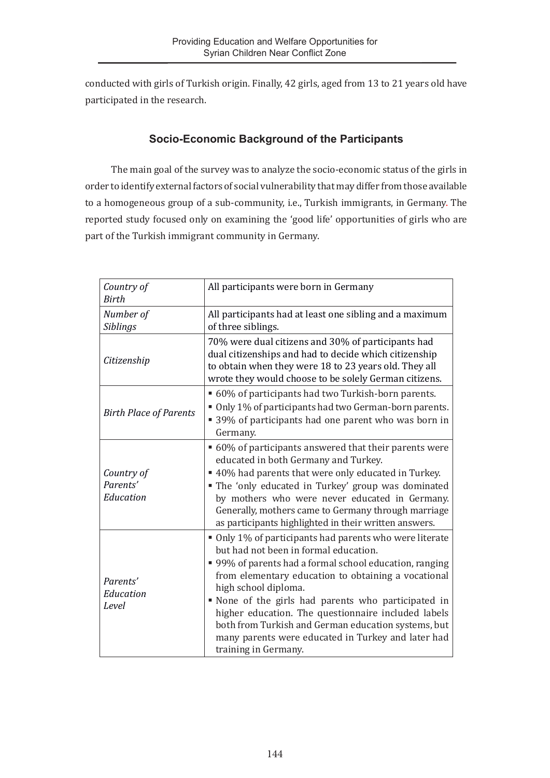conducted with girls of Turkish origin. Finally, 42 girls, aged from 13 to 21 years old have participated in the research.

# **Socio-Economic Background of the Participants**

The main goal of the survey was to analyze the socio-economic status of the girls in order to identify external factors of social vulnerability that may differ from those available to a homogeneous group of a sub-community, i.e., Turkish immigrants, in Germany. The reported study focused only on examining the 'good life' opportunities of girls who are part of the Turkish immigrant community in Germany.

| Country of<br><b>Birth</b>          | All participants were born in Germany                                                                                                                                                                                                                                                                                                                                                                                                                                                         |
|-------------------------------------|-----------------------------------------------------------------------------------------------------------------------------------------------------------------------------------------------------------------------------------------------------------------------------------------------------------------------------------------------------------------------------------------------------------------------------------------------------------------------------------------------|
| Number of<br>Siblings               | All participants had at least one sibling and a maximum<br>of three siblings.                                                                                                                                                                                                                                                                                                                                                                                                                 |
| Citizenship                         | 70% were dual citizens and 30% of participants had<br>dual citizenships and had to decide which citizenship<br>to obtain when they were 18 to 23 years old. They all<br>wrote they would choose to be solely German citizens.                                                                                                                                                                                                                                                                 |
| <b>Birth Place of Parents</b>       | • 60% of participants had two Turkish-born parents.<br>Only 1% of participants had two German-born parents.<br>• 39% of participants had one parent who was born in<br>Germany.                                                                                                                                                                                                                                                                                                               |
| Country of<br>Parents'<br>Education | • 60% of participants answered that their parents were<br>educated in both Germany and Turkey.<br>• 40% had parents that were only educated in Turkey.<br>• The 'only educated in Turkey' group was dominated<br>by mothers who were never educated in Germany.<br>Generally, mothers came to Germany through marriage<br>as participants highlighted in their written answers.                                                                                                               |
| Parents'<br>Education<br>Level      | • Only 1% of participants had parents who were literate<br>but had not been in formal education.<br>• 99% of parents had a formal school education, ranging<br>from elementary education to obtaining a vocational<br>high school diploma.<br>" None of the girls had parents who participated in<br>higher education. The questionnaire included labels<br>both from Turkish and German education systems, but<br>many parents were educated in Turkey and later had<br>training in Germany. |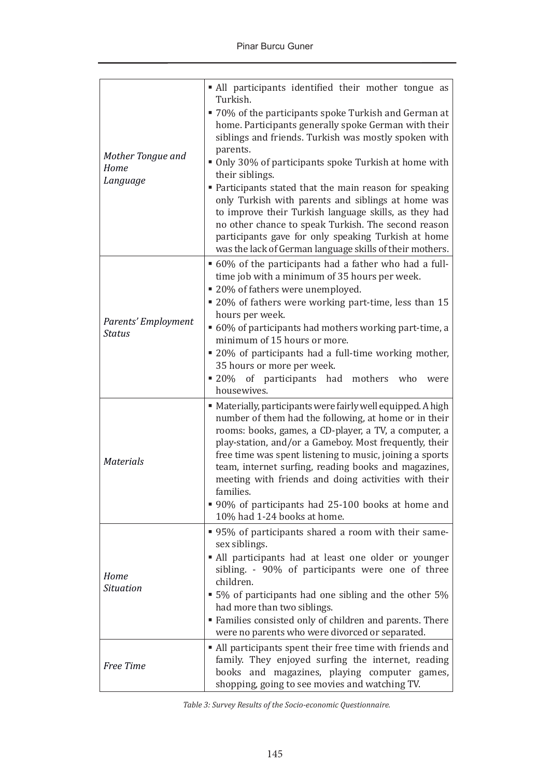| Mother Tongue and<br>Home<br>Language | • All participants identified their mother tongue as<br>Turkish.<br>• 70% of the participants spoke Turkish and German at<br>home. Participants generally spoke German with their<br>siblings and friends. Turkish was mostly spoken with<br>parents.<br>Only 30% of participants spoke Turkish at home with<br>their siblings.<br>" Participants stated that the main reason for speaking<br>only Turkish with parents and siblings at home was<br>to improve their Turkish language skills, as they had<br>no other chance to speak Turkish. The second reason<br>participants gave for only speaking Turkish at home<br>was the lack of German language skills of their mothers. |
|---------------------------------------|-------------------------------------------------------------------------------------------------------------------------------------------------------------------------------------------------------------------------------------------------------------------------------------------------------------------------------------------------------------------------------------------------------------------------------------------------------------------------------------------------------------------------------------------------------------------------------------------------------------------------------------------------------------------------------------|
| Parents' Employment<br><b>Status</b>  | • 60% of the participants had a father who had a full-<br>time job with a minimum of 35 hours per week.<br>■ 20% of fathers were unemployed.<br>■ 20% of fathers were working part-time, less than 15<br>hours per week.<br>• 60% of participants had mothers working part-time, a<br>minimum of 15 hours or more.<br>" 20% of participants had a full-time working mother,<br>35 hours or more per week.<br>" 20% of participants had mothers who<br>were<br>housewives.                                                                                                                                                                                                           |
| <b>Materials</b>                      | • Materially, participants were fairly well equipped. A high<br>number of them had the following, at home or in their<br>rooms: books, games, a CD-player, a TV, a computer, a<br>play-station, and/or a Gameboy. Most frequently, their<br>free time was spent listening to music, joining a sports<br>team, internet surfing, reading books and magazines,<br>meeting with friends and doing activities with their<br>families.<br>■ 90% of participants had 25-100 books at home and<br>10% had 1-24 books at home.                                                                                                                                                              |
| Home<br><b>Situation</b>              | • 95% of participants shared a room with their same-<br>sex siblings.<br>" All participants had at least one older or younger<br>sibling. - 90% of participants were one of three<br>children.<br>• 5% of participants had one sibling and the other 5%<br>had more than two siblings.<br>" Families consisted only of children and parents. There<br>were no parents who were divorced or separated.                                                                                                                                                                                                                                                                               |
| <b>Free Time</b>                      | • All participants spent their free time with friends and<br>family. They enjoyed surfing the internet, reading<br>books and magazines, playing computer games,<br>shopping, going to see movies and watching TV.                                                                                                                                                                                                                                                                                                                                                                                                                                                                   |

 *Table 3: Survey Results of the Socio-economic Questionnaire.*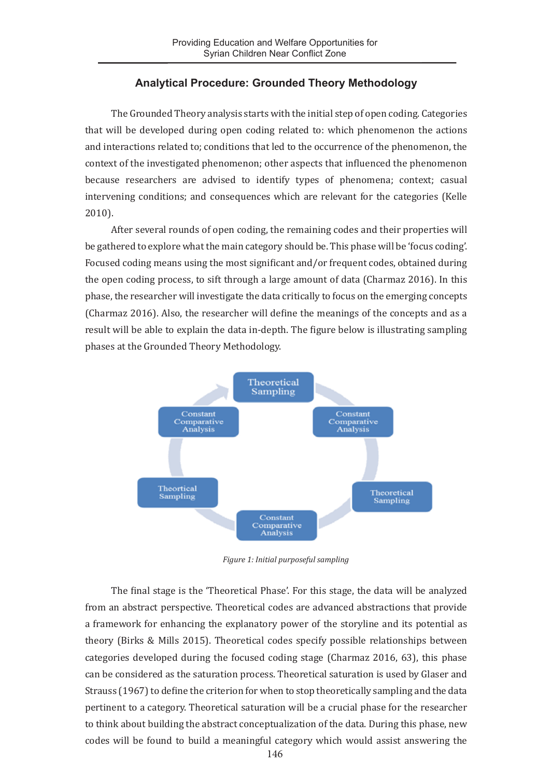### **Analytical Procedure: Grounded Theory Methodology**

The Grounded Theory analysis starts with the initial step of open coding. Categories that will be developed during open coding related to: which phenomenon the actions and interactions related to; conditions that led to the occurrence of the phenomenon, the context of the investigated phenomenon; other aspects that influenced the phenomenon because researchers are advised to identify types of phenomena; context; casual intervening conditions; and consequences which are relevant for the categories (Kelle 2010).

After several rounds of open coding, the remaining codes and their properties will be gathered to explore what the main category should be. This phase will be 'focus coding'. Focused coding means using the most significant and/or frequent codes, obtained during the open coding process, to sift through a large amount of data (Charmaz 2016). In this phase, the researcher will investigate the data critically to focus on the emerging concepts (Charmaz 2016). Also, the researcher will define the meanings of the concepts and as a result will be able to explain the data in-depth. The figure below is illustrating sampling phases at the Grounded Theory Methodology.



*Figure 1: Initial purposeful sampling*

The final stage is the 'Theoretical Phase'. For this stage, the data will be analyzed from an abstract perspective. Theoretical codes are advanced abstractions that provide a framework for enhancing the explanatory power of the storyline and its potential as theory (Birks & Mills 2015). Theoretical codes specify possible relationships between categories developed during the focused coding stage (Charmaz 2016, 63), this phase can be considered as the saturation process. Theoretical saturation is used by Glaser and Strauss (1967) to define the criterion for when to stop theoretically sampling and the data pertinent to a category. Theoretical saturation will be a crucial phase for the researcher to think about building the abstract conceptualization of the data. During this phase, new codes will be found to build a meaningful category which would assist answering the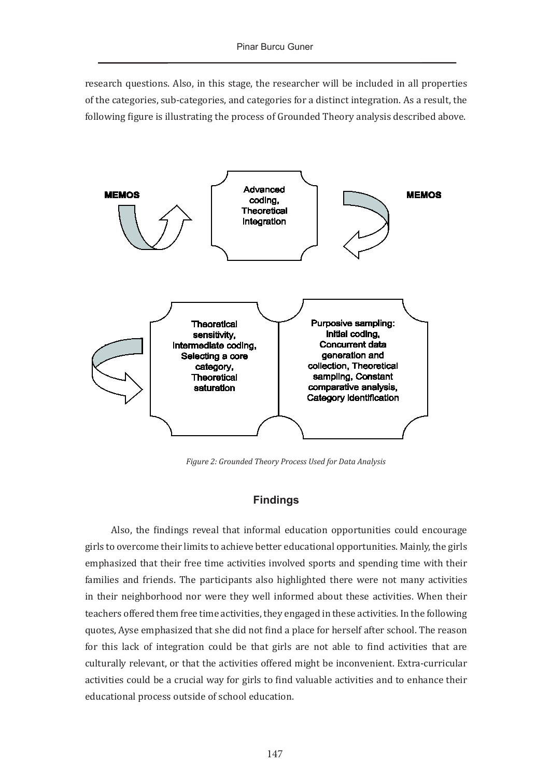research questions. Also, in this stage, the researcher will be included in all properties of the categories, sub-categories, and categories for a distinct integration. As a result, the following figure is illustrating the process of Grounded Theory analysis described above.



*Figure 2: Grounded Theory Process Used for Data Analysis*

### **Findings**

Also, the findings reveal that informal education opportunities could encourage girls to overcome their limits to achieve better educational opportunities. Mainly, the girls emphasized that their free time activities involved sports and spending time with their families and friends. The participants also highlighted there were not many activities in their neighborhood nor were they well informed about these activities. When their teachers offered them free time activities, they engaged in these activities. In the following quotes, Ayse emphasized that she did not find a place for herself after school. The reason for this lack of integration could be that girls are not able to find activities that are culturally relevant, or that the activities offered might be inconvenient. Extra-curricular activities could be a crucial way for girls to find valuable activities and to enhance their educational process outside of school education.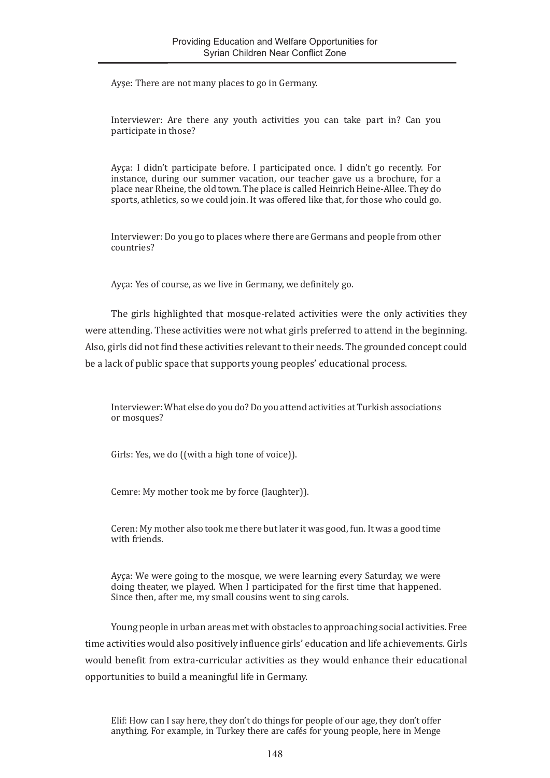Ayşe: There are not many places to go in Germany.

Interviewer: Are there any youth activities you can take part in? Can you participate in those?

Ayça: I didn't participate before. I participated once. I didn't go recently. For instance, during our summer vacation, our teacher gave us a brochure, for a place near Rheine, the old town. The place is called Heinrich Heine-Allee. They do sports, athletics, so we could join. It was offered like that, for those who could go.

Interviewer: Do you go to places where there are Germans and people from other countries?

Ayça: Yes of course, as we live in Germany, we definitely go.

The girls highlighted that mosque-related activities were the only activities they were attending. These activities were not what girls preferred to attend in the beginning. Also, girls did not find these activities relevant to their needs. The grounded concept could be a lack of public space that supports young peoples' educational process.

Interviewer: What else do you do? Do you attend activities at Turkish associations or mosques?

Girls: Yes, we do ((with a high tone of voice)).

Cemre: My mother took me by force (laughter)).

Ceren: My mother also took me there but later it was good, fun. It was a good time with friends.

Ayça: We were going to the mosque, we were learning every Saturday, we were doing theater, we played. When I participated for the first time that happened. Since then, after me, my small cousins went to sing carols.

Young people in urban areas met with obstacles to approaching social activities. Free time activities would also positively influence girls' education and life achievements. Girls would benefit from extra-curricular activities as they would enhance their educational opportunities to build a meaningful life in Germany.

Elif: How can I say here, they don't do things for people of our age, they don't offer anything. For example, in Turkey there are cafés for young people, here in Menge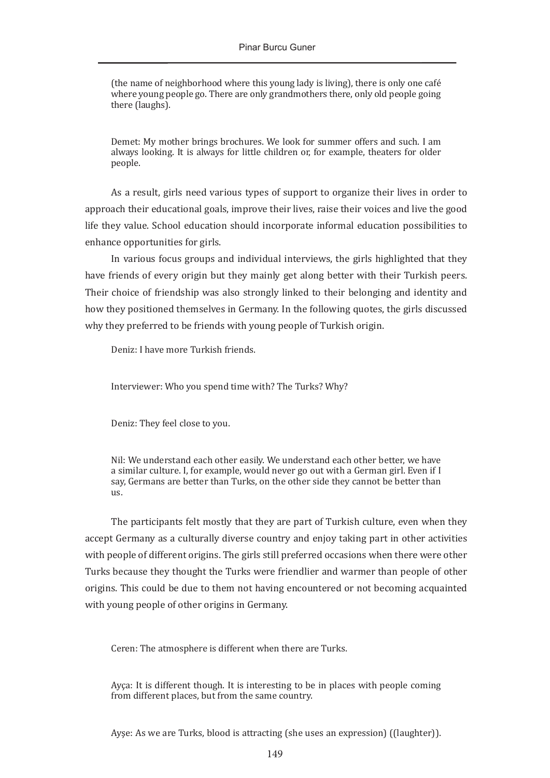(the name of neighborhood where this young lady is living), there is only one café where young people go. There are only grandmothers there, only old people going there (laughs).

Demet: My mother brings brochures. We look for summer offers and such. I am always looking. It is always for little children or, for example, theaters for older people.

As a result, girls need various types of support to organize their lives in order to approach their educational goals, improve their lives, raise their voices and live the good life they value. School education should incorporate informal education possibilities to enhance opportunities for girls.

In various focus groups and individual interviews, the girls highlighted that they have friends of every origin but they mainly get along better with their Turkish peers. Their choice of friendship was also strongly linked to their belonging and identity and how they positioned themselves in Germany. In the following quotes, the girls discussed why they preferred to be friends with young people of Turkish origin.

Deniz: I have more Turkish friends.

Interviewer: Who you spend time with? The Turks? Why?

Deniz: They feel close to you.

Nil: We understand each other easily. We understand each other better, we have a similar culture. I, for example, would never go out with a German girl. Even if I say, Germans are better than Turks, on the other side they cannot be better than us.

The participants felt mostly that they are part of Turkish culture, even when they accept Germany as a culturally diverse country and enjoy taking part in other activities with people of different origins. The girls still preferred occasions when there were other Turks because they thought the Turks were friendlier and warmer than people of other origins. This could be due to them not having encountered or not becoming acquainted with young people of other origins in Germany.

Ceren: The atmosphere is different when there are Turks.

Ayça: It is different though. It is interesting to be in places with people coming from different places, but from the same country.

Ayşe: As we are Turks, blood is attracting (she uses an expression) ((laughter)).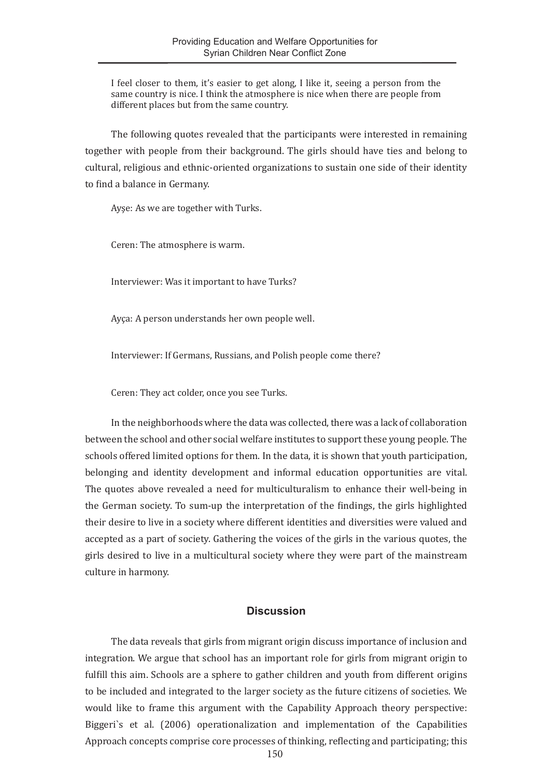I feel closer to them, it's easier to get along, I like it, seeing a person from the same country is nice. I think the atmosphere is nice when there are people from different places but from the same country.

The following quotes revealed that the participants were interested in remaining together with people from their background. The girls should have ties and belong to cultural, religious and ethnic-oriented organizations to sustain one side of their identity to find a balance in Germany.

Ayşe: As we are together with Turks.

Ceren: The atmosphere is warm.

Interviewer: Was it important to have Turks?

Ayça: A person understands her own people well.

Interviewer: If Germans, Russians, and Polish people come there?

Ceren: They act colder, once you see Turks.

In the neighborhoods where the data was collected, there was a lack of collaboration between the school and other social welfare institutes to support these young people. The schools offered limited options for them. In the data, it is shown that youth participation, belonging and identity development and informal education opportunities are vital. The quotes above revealed a need for multiculturalism to enhance their well-being in the German society. To sum-up the interpretation of the findings, the girls highlighted their desire to live in a society where different identities and diversities were valued and accepted as a part of society. Gathering the voices of the girls in the various quotes, the girls desired to live in a multicultural society where they were part of the mainstream culture in harmony.

### **Discussion**

The data reveals that girls from migrant origin discuss importance of inclusion and integration. We argue that school has an important role for girls from migrant origin to fulfill this aim. Schools are a sphere to gather children and youth from different origins to be included and integrated to the larger society as the future citizens of societies. We would like to frame this argument with the Capability Approach theory perspective: Biggeri`s et al. (2006) operationalization and implementation of the Capabilities Approach concepts comprise core processes of thinking, reflecting and participating; this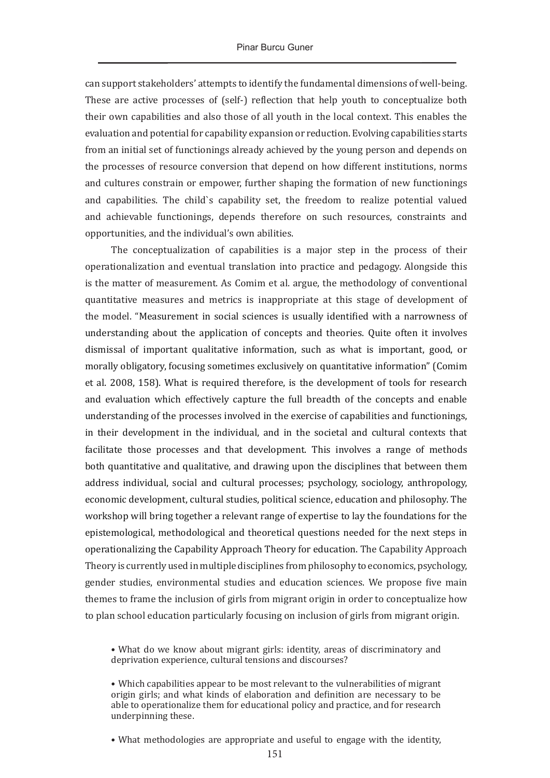can support stakeholders' attempts to identify the fundamental dimensions of well-being. These are active processes of (self-) reflection that help youth to conceptualize both their own capabilities and also those of all youth in the local context. This enables the evaluation and potential for capability expansion or reduction. Evolving capabilities starts from an initial set of functionings already achieved by the young person and depends on the processes of resource conversion that depend on how different institutions, norms and cultures constrain or empower, further shaping the formation of new functionings and capabilities. The child`s capability set, the freedom to realize potential valued and achievable functionings, depends therefore on such resources, constraints and opportunities, and the individual's own abilities.

The conceptualization of capabilities is a major step in the process of their operationalization and eventual translation into practice and pedagogy. Alongside this is the matter of measurement. As Comim et al. argue, the methodology of conventional quantitative measures and metrics is inappropriate at this stage of development of the model. "Measurement in social sciences is usually identified with a narrowness of understanding about the application of concepts and theories. Quite often it involves dismissal of important qualitative information, such as what is important, good, or morally obligatory, focusing sometimes exclusively on quantitative information" (Comim et al. 2008, 158). What is required therefore, is the development of tools for research and evaluation which effectively capture the full breadth of the concepts and enable understanding of the processes involved in the exercise of capabilities and functionings, in their development in the individual, and in the societal and cultural contexts that facilitate those processes and that development. This involves a range of methods both quantitative and qualitative, and drawing upon the disciplines that between them address individual, social and cultural processes; psychology, sociology, anthropology, economic development, cultural studies, political science, education and philosophy. The workshop will bring together a relevant range of expertise to lay the foundations for the epistemological, methodological and theoretical questions needed for the next steps in operationalizing the Capability Approach Theory for education. The Capability Approach Theory is currently used in multiple disciplines from philosophy to economics, psychology, gender studies, environmental studies and education sciences. We propose five main themes to frame the inclusion of girls from migrant origin in order to conceptualize how to plan school education particularly focusing on inclusion of girls from migrant origin.

• What methodologies are appropriate and useful to engage with the identity,

<sup>•</sup> What do we know about migrant girls: identity, areas of discriminatory and deprivation experience, cultural tensions and discourses?

<sup>•</sup> Which capabilities appear to be most relevant to the vulnerabilities of migrant origin girls; and what kinds of elaboration and definition are necessary to be able to operationalize them for educational policy and practice, and for research underpinning these.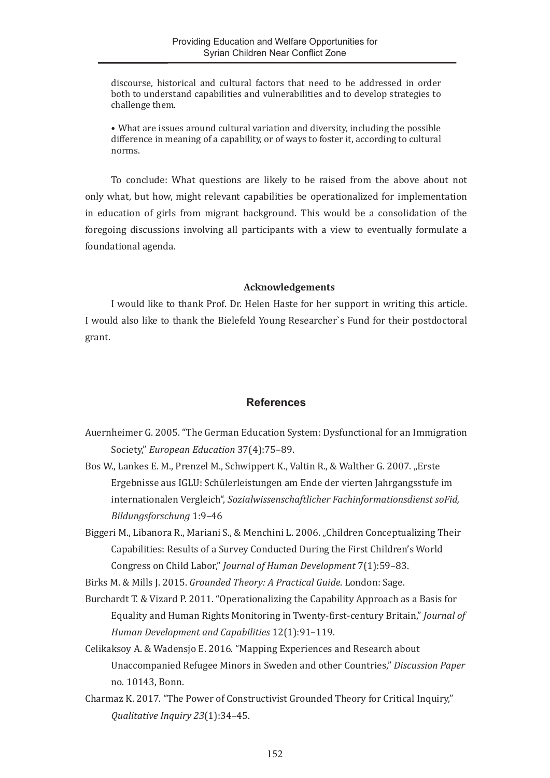discourse, historical and cultural factors that need to be addressed in order both to understand capabilities and vulnerabilities and to develop strategies to challenge them.

• What are issues around cultural variation and diversity, including the possible difference in meaning of a capability, or of ways to foster it, according to cultural norms.

To conclude: What questions are likely to be raised from the above about not only what, but how, might relevant capabilities be operationalized for implementation in education of girls from migrant background. This would be a consolidation of the foregoing discussions involving all participants with a view to eventually formulate a foundational agenda.

#### **Acknowledgements**

I would like to thank Prof. Dr. Helen Haste for her support in writing this article. I would also like to thank the Bielefeld Young Researcher`s Fund for their postdoctoral grant.

### **References**

- Auernheimer G. 2005. "The German Education System: Dysfunctional for an Immigration Society," *European Education* 37(4):75–89.
- Bos W., Lankes E. M., Prenzel M., Schwippert K., Valtin R., & Walther G. 2007. "Erste Ergebnisse aus IGLU: Schülerleistungen am Ende der vierten Jahrgangsstufe im internationalen Vergleich", *Sozialwissenschaftlicher Fachinformationsdienst soFid, Bildungsforschung* 1:9–46
- Biggeri M., Libanora R., Mariani S., & Menchini L. 2006. "Children Conceptualizing Their Capabilities: Results of a Survey Conducted During the First Children's World Congress on Child Labor," *Journal of Human Development* 7(1):59–83.
- Birks M. & Mills J. 2015. *Grounded Theory: A Practical Guide*. London: Sage.
- Burchardt T. & Vizard P. 2011. "Operationalizing the Capability Approach as a Basis for Equality and Human Rights Monitoring in Twenty‐first‐century Britain," *Journal of Human Development and Capabilities* 12(1):91–119.
- Celikaksoy A. & Wadensjo E. 2016. "Mapping Experiences and Research about Unaccompanied Refugee Minors in Sweden and other Countries," *Discussion Paper* no. 10143, Bonn.
- Charmaz K. 2017. "The Power of Constructivist Grounded Theory for Critical Inquiry," *Qualitative Inquiry 23*(1):34–45.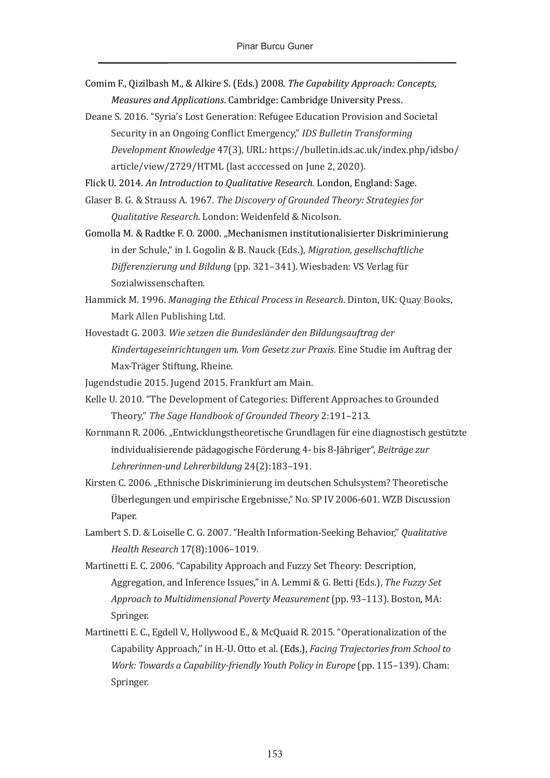Comim F., Qizilbash M., & Alkire S. (Eds.) 2008. *The Capability Approach: Concepts, Measures and Applications*. Cambridge: Cambridge University Press.

Deane S. 2016. "Syria's Lost Generation: Refugee Education Provision and Societal Security in an Ongoing Conflict Emergency," *IDS Bulletin Transforming Development Knowledge* 47(3), URL: [https://bulletin.ids.ac.uk/index.php/idsbo/](https://bulletin.ids.ac.uk/index.php/idsbo/article/view/2729/HTML) [article/view/2729/HTML](https://bulletin.ids.ac.uk/index.php/idsbo/article/view/2729/HTML) (last acccessed on June 2, 2020).

Flick U. 2014. *An Introduction to Qualitative Research.* London, England: Sage.

- Glaser B. G. & Strauss A. 1967. *The Discovery of Grounded Theory: Strategies for Qualitative Research*. London: Weidenfeld & Nicolson.
- Gomolla M. & Radtke F. O. 2000. "Mechanismen institutionalisierter Diskriminierung in der Schule," in I. Gogolin & B. Nauck (Eds.), *Migration, gesellschaftliche Differenzierung und Bildung* (pp. 321–341). Wiesbaden: VS Verlag für Sozialwissenschaften.
- Hammick M. 1996. *Managing the Ethical Process in Research*. Dinton, UK: Quay Books, Mark Allen Publishing Ltd.
- Hovestadt G. 2003. *Wie setzen die Bundesländer den Bildungsauftrag der Kindertageseinrichtungen um. Vom Gesetz zur Praxis*. Eine Studie im Auftrag der Max-Träger Stiftung, Rheine.

Jugendstudie 2015. Jugend 2015. Frankfurt am Main.

- Kelle U. 2010. "The Development of Categories: Different Approaches to Grounded Theory," *The Sage Handbook of Grounded Theory* 2:191–213.
- Kornmann R. 2006. "Entwicklungstheoretische Grundlagen für eine diagnostisch gestützte individualisierende pädagogische Förderung 4- bis 8-Jähriger", *Beiträge zur Lehrerinnen-und Lehrerbildung* 24(2):183–191.
- Kirsten C. 2006. "Ethnische Diskriminierung im deutschen Schulsystem? Theoretische Überlegungen und empirische Ergebnisse," No. SP IV 2006-601. WZB Discussion Paper.
- Lambert S. D. & Loiselle C. G. 2007. "Health Information-Seeking Behavior," *Qualitative Health Research* 17(8):1006–1019.
- Martinetti E. C. 2006. "Capability Approach and Fuzzy Set Theory: Description, Aggregation, and Inference Issues," in A. Lemmi & G. Betti (Eds.), *The Fuzzy Set Approach to Multidimensional Poverty Measurement* (pp. 93–113). Boston, MA: Springer.
- Martinetti E. C., Egdell V., Hollywood E., & McQuaid R. 2015. "Operationalization of the Capability Approach," in H.-U. Otto et al. (Eds.), *Facing Trajectories from School to Work: Towards a Capability-friendly Youth Policy in Europe* (pp. 115–139). Cham: Springer.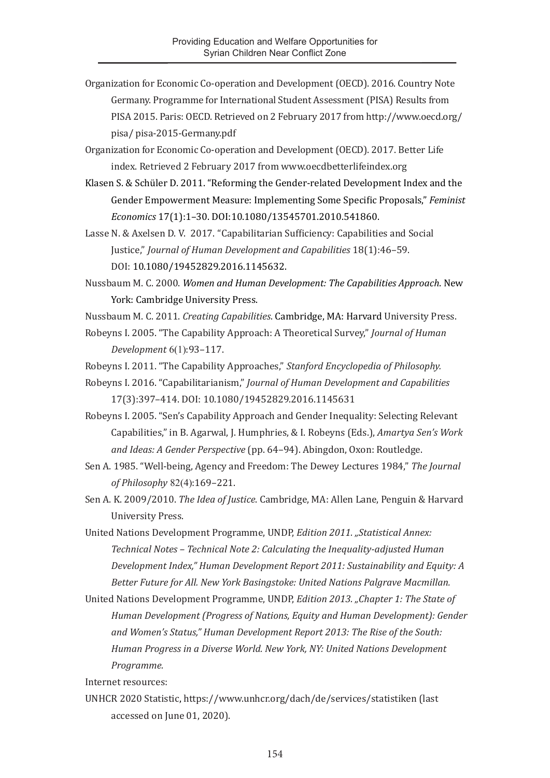Organization for Economic Co-operation and Development (OECD). 2016. Country Note Germany. Programme for International Student Assessment (PISA) Results from PISA 2015. Paris: OECD. Retrieved on 2 February 2017 from http://www.oecd.org/ pisa/ pisa-2015-Germany.pdf

Organization for Economic Co-operation and Development (OECD). 2017. Better Life index. Retrieved 2 February 2017 from www.oecdbetterlifeindex.org

- Klasen S. & Schüler D. 2011. "Reforming the Gender-related Development Index and the Gender Empowerment Measure: Implementing Some Specific Proposals," *Feminist Economics* 17(1):1–30. DOI:10.1080/13545701.2010.541860.
- Lasse N. & Axelsen D. V. 2017. "Capabilitarian Sufficiency: Capabilities and Social Justice," *Journal of Human Development and Capabilities* 18(1):46–59. DOI: [10.1080/19452829.2016.1145632](https://doi.org/10.1080/19452829.2016.1145632).
- Nussbaum M. C. 2000. *Women and Human Development: The Capabilities Approach*. New York: Cambridge University Press.
- Nussbaum M. C. 2011. *Creating Capabilities*. Cambridge, MA: Harvard University Press.
- Robeyns I. 2005. "The Capability Approach: A Theoretical Survey," *Journal of Human Development* 6(1):93–117.
- Robeyns I. 2011. "The Capability Approaches," *Stanford Encyclopedia of Philosophy.*
- Robeyns I. 2016. "Capabilitarianism," *Journal of Human Development and Capabilities* 17(3):397–414. DOI: 10.1080/19452829.2016.1145631
- Robeyns I. 2005. "Sen's Capability Approach and Gender Inequality: Selecting Relevant Capabilities," in B. Agarwal, J. Humphries, & I. Robeyns (Eds.), *Amartya Sen's Work and Ideas: A Gender Perspective* (pp. 64–94). Abingdon, Oxon: Routledge.
- Sen A. 1985. "Well-being, Agency and Freedom: The Dewey Lectures 1984," *The Journal of Philosophy* 82(4):169–221.
- Sen A. K. 2009/2010. *The Idea of Justice*. Cambridge, MA: Allen Lane, Penguin & Harvard University Press.

[United Nations Development Programme, UNDP](https://en.wikipedia.org/wiki/United_Nations_Development_Programme), *Edition 2011. "Statistical Annex: Technical Notes – Technical Note 2: Calculating the Inequality-adjusted Human Development Index," Human Development Report 2011: Sustainability and Equity: A Better Future for All. New York Basingstoke: United Nations Palgrave Macmillan.*

[United Nations Development Programme, UNDP](https://en.wikipedia.org/wiki/United_Nations_Development_Programme), *Edition 2013. "Chapter 1: The State of Human Development (Progress of Nations, Equity and Human Development): Gender and Women's Status," Human Development Report 2013: The Rise of the South: Human Progress in a Diverse World. New York, NY: United Nations Development Programme.*

Internet resources:

UNHCR 2020 Statistic, <https://www.unhcr.org/dach/de/services/statistiken> (last accessed on June 01, 2020).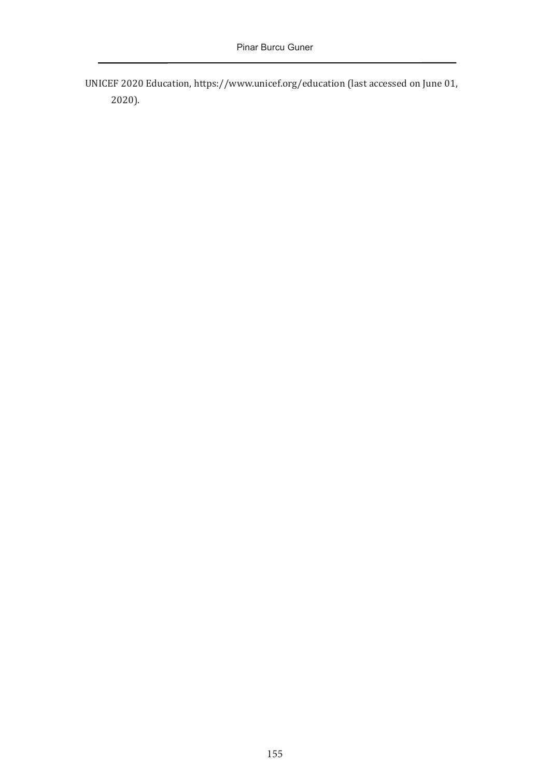UNICEF 2020 Education,<https://www.unicef.org/education>(last accessed on June 01, 2020).